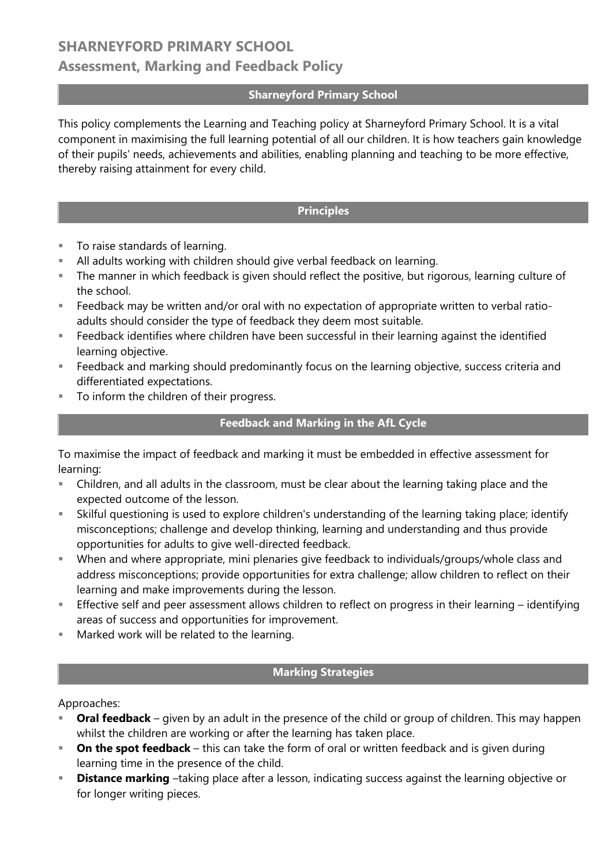## **SHARNEYFORD PRIMARY SCHOOL Assessment, Marking and Feedback Policy**

#### **Sharneyford Primary School**

This policy complements the Learning and Teaching policy at Sharneyford Primary School. It is a vital component in maximising the full learning potential of all our children. It is how teachers gain knowledge of their pupils' needs, achievements and abilities, enabling planning and teaching to be more effective, thereby raising attainment for every child.

### **Principles**

- **To raise standards of learning.**
- All adults working with children should give verbal feedback on learning.
- The manner in which feedback is given should reflect the positive, but rigorous, learning culture of the school.
- Feedback may be written and/or oral with no expectation of appropriate written to verbal ratioadults should consider the type of feedback they deem most suitable.
- Feedback identifies where children have been successful in their learning against the identified learning objective.
- Feedback and marking should predominantly focus on the learning objective, success criteria and differentiated expectations.
- To inform the children of their progress.

#### **Feedback and Marking in the AfL Cycle**

To maximise the impact of feedback and marking it must be embedded in effective assessment for learning:

- Children, and all adults in the classroom, must be clear about the learning taking place and the expected outcome of the lesson.
- Skilful questioning is used to explore children's understanding of the learning taking place; identify misconceptions; challenge and develop thinking, learning and understanding and thus provide opportunities for adults to give well-directed feedback.
- When and where appropriate, mini plenaries give feedback to individuals/groups/whole class and address misconceptions; provide opportunities for extra challenge; allow children to reflect on their learning and make improvements during the lesson.
- Effective self and peer assessment allows children to reflect on progress in their learning identifying areas of success and opportunities for improvement.
- **Marked work will be related to the learning.**

#### **Marking Strategies**

Approaches:

- **Oral feedback** given by an adult in the presence of the child or group of children. This may happen whilst the children are working or after the learning has taken place.
- **On the spot feedback** this can take the form of oral or written feedback and is given during learning time in the presence of the child.
- **Distance marking** –taking place after a lesson, indicating success against the learning objective or for longer writing pieces.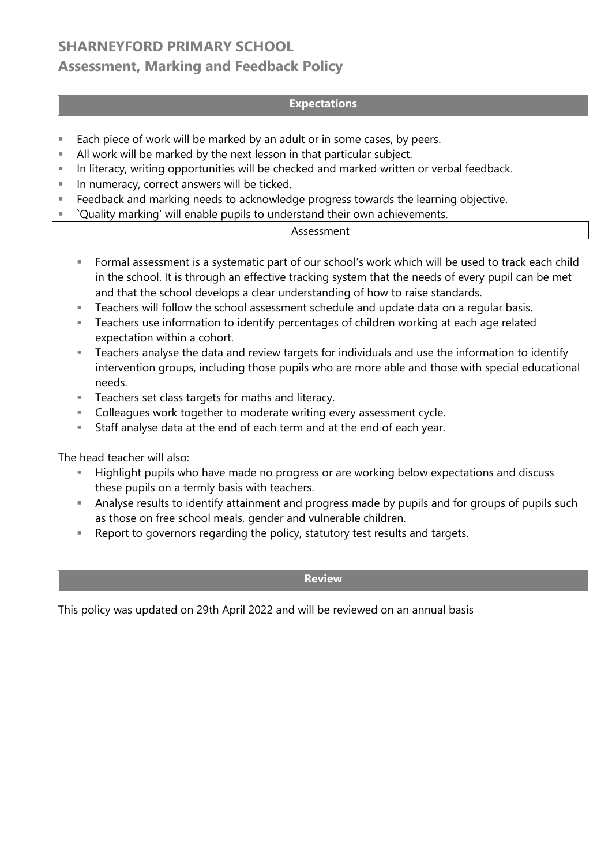# **SHARNEYFORD PRIMARY SCHOOL Assessment, Marking and Feedback Policy**

### **Expectations**

- Each piece of work will be marked by an adult or in some cases, by peers.
- All work will be marked by the next lesson in that particular subject.
- In literacy, writing opportunities will be checked and marked written or verbal feedback.
- In numeracy, correct answers will be ticked.
- **Feedback and marking needs to acknowledge progress towards the learning objective.**
- `Quality marking' will enable pupils to understand their own achievements.

### Assessment

- Formal assessment is a systematic part of our school's work which will be used to track each child in the school. It is through an effective tracking system that the needs of every pupil can be met and that the school develops a clear understanding of how to raise standards.
- **Teachers will follow the school assessment schedule and update data on a regular basis.**
- Teachers use information to identify percentages of children working at each age related expectation within a cohort.
- Teachers analyse the data and review targets for individuals and use the information to identify intervention groups, including those pupils who are more able and those with special educational needs.
- Teachers set class targets for maths and literacy.
- **Colleagues work together to moderate writing every assessment cycle.**
- Staff analyse data at the end of each term and at the end of each year.

The head teacher will also:

- Highlight pupils who have made no progress or are working below expectations and discuss these pupils on a termly basis with teachers.
- Analyse results to identify attainment and progress made by pupils and for groups of pupils such as those on free school meals, gender and vulnerable children.
- Report to governors regarding the policy, statutory test results and targets.

#### **Review**

This policy was updated on 29th April 2022 and will be reviewed on an annual basis